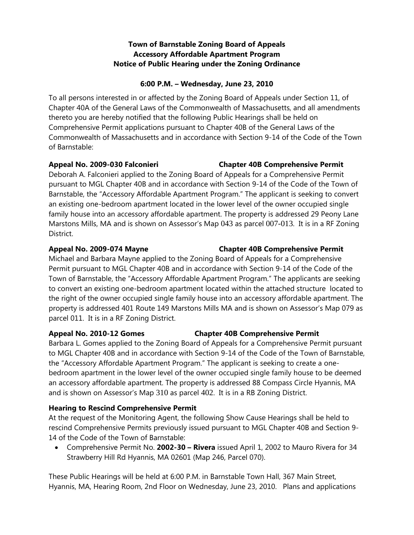# **Town of Barnstable Zoning Board of Appeals Accessory Affordable Apartment Program Notice of Public Hearing under the Zoning Ordinance**

### **6:00 P.M. – Wednesday, June 23, 2010**

To all persons interested in or affected by the Zoning Board of Appeals under Section 11, of Chapter 40A of the General Laws of the Commonwealth of Massachusetts, and all amendments thereto you are hereby notified that the following Public Hearings shall be held on Comprehensive Permit applications pursuant to Chapter 40B of the General Laws of the Commonwealth of Massachusetts and in accordance with Section 9-14 of the Code of the Town of Barnstable:

Deborah A. Falconieri applied to the Zoning Board of Appeals for a Comprehensive Permit pursuant to MGL Chapter 40B and in accordance with Section 9-14 of the Code of the Town of Barnstable, the "Accessory Affordable Apartment Program." The applicant is seeking to convert an existing one-bedroom apartment located in the lower level of the owner occupied single family house into an accessory affordable apartment. The property is addressed 29 Peony Lane Marstons Mills, MA and is shown on Assessor's Map 043 as parcel 007-013. It is in a RF Zoning District.

Michael and Barbara Mayne applied to the Zoning Board of Appeals for a Comprehensive Permit pursuant to MGL Chapter 40B and in accordance with Section 9-14 of the Code of the Town of Barnstable, the "Accessory Affordable Apartment Program." The applicants are seeking to convert an existing one-bedroom apartment located within the attached structure located to the right of the owner occupied single family house into an accessory affordable apartment. The property is addressed 401 Route 149 Marstons Mills MA and is shown on Assessor's Map 079 as parcel 011. It is in a RF Zoning District.

# **Appeal No. 2010-12 Gomes Chapter 40B Comprehensive Permit**

Barbara L. Gomes applied to the Zoning Board of Appeals for a Comprehensive Permit pursuant to MGL Chapter 40B and in accordance with Section 9-14 of the Code of the Town of Barnstable, the "Accessory Affordable Apartment Program." The applicant is seeking to create a onebedroom apartment in the lower level of the owner occupied single family house to be deemed an accessory affordable apartment. The property is addressed 88 Compass Circle Hyannis, MA and is shown on Assessor's Map 310 as parcel 402. It is in a RB Zoning District.

# **Hearing to Rescind Comprehensive Permit**

At the request of the Monitoring Agent, the following Show Cause Hearings shall be held to rescind Comprehensive Permits previously issued pursuant to MGL Chapter 40B and Section 9- 14 of the Code of the Town of Barnstable:

 Comprehensive Permit No. **2002-30 – Rivera** issued April 1, 2002 to Mauro Rivera for 34 Strawberry Hill Rd Hyannis, MA 02601 (Map 246, Parcel 070).

These Public Hearings will be held at 6:00 P.M. in Barnstable Town Hall, 367 Main Street, Hyannis, MA, Hearing Room, 2nd Floor on Wednesday, June 23, 2010. Plans and applications

# **Appeal No. 2009-030 Falconieri Chapter 40B Comprehensive Permit**

# **Appeal No. 2009-074 Mayne Chapter 40B Comprehensive Permit**